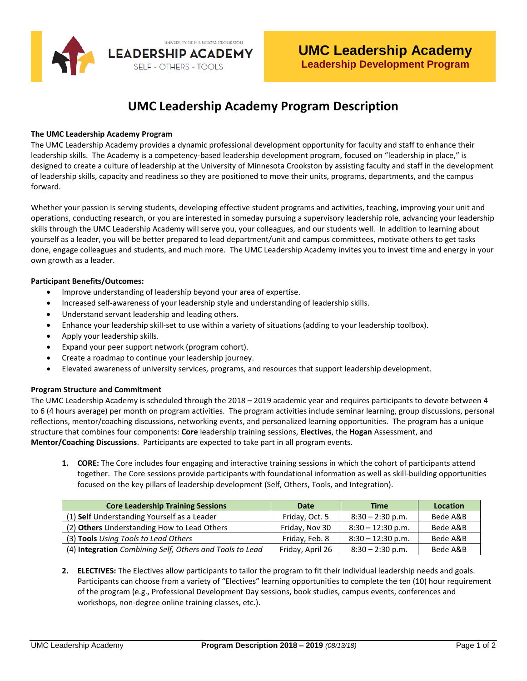

# **UMC Leadership Academy Program Description**

#### **The UMC Leadership Academy Program**

The UMC Leadership Academy provides a dynamic professional development opportunity for faculty and staff to enhance their leadership skills. The Academy is a competency-based leadership development program, focused on "leadership in place," is designed to create a culture of leadership at the University of Minnesota Crookston by assisting faculty and staff in the development of leadership skills, capacity and readiness so they are positioned to move their units, programs, departments, and the campus forward.

Whether your passion is serving students, developing effective student programs and activities, teaching, improving your unit and operations, conducting research, or you are interested in someday pursuing a supervisory leadership role, advancing your leadership skills through the UMC Leadership Academy will serve you, your colleagues, and our students well. In addition to learning about yourself as a leader, you will be better prepared to lead department/unit and campus committees, motivate others to get tasks done, engage colleagues and students, and much more. The UMC Leadership Academy invites you to invest time and energy in your own growth as a leader.

#### **Participant Benefits/Outcomes:**

- Improve understanding of leadership beyond your area of expertise.
- Increased self-awareness of your leadership style and understanding of leadership skills.
- Understand servant leadership and leading others.
- Enhance your leadership skill-set to use within a variety of situations (adding to your leadership toolbox).
- Apply your leadership skills.
- Expand your peer support network (program cohort).
- Create a roadmap to continue your leadership journey.
- Elevated awareness of university services, programs, and resources that support leadership development.

## **Program Structure and Commitment**

The UMC Leadership Academy is scheduled through the 2018 – 2019 academic year and requires participants to devote between 4 to 6 (4 hours average) per month on program activities. The program activities include seminar learning, group discussions, personal reflections, mentor/coaching discussions, networking events, and personalized learning opportunities. The program has a unique structure that combines four components: **Core** leadership training sessions, **Electives**, the **Hogan** Assessment, and **Mentor/Coaching Discussions**. Participants are expected to take part in all program events.

**1. CORE:** The Core includes four engaging and interactive training sessions in which the cohort of participants attend together. The Core sessions provide participants with foundational information as well as skill-building opportunities focused on the key pillars of leadership development (Self, Others, Tools, and Integration).

| <b>Core Leadership Training Sessions</b>                 | Date             | <b>Time</b>         | <b>Location</b> |
|----------------------------------------------------------|------------------|---------------------|-----------------|
| (1) Self Understanding Yourself as a Leader              | Friday, Oct. 5   | $8:30 - 2:30$ p.m.  | Bede A&B        |
| (2) Others Understanding How to Lead Others              | Friday, Nov 30   | $8:30 - 12:30$ p.m. | Bede A&B        |
| (3) Tools Using Tools to Lead Others                     | Friday, Feb. 8   | $8:30 - 12:30$ p.m. | Bede A&B        |
| (4) Integration Combining Self, Others and Tools to Lead | Friday, April 26 | $8:30 - 2:30$ p.m.  | Bede A&B        |

**2. ELECTIVES:** The Electives allow participants to tailor the program to fit their individual leadership needs and goals. Participants can choose from a variety of "Electives" learning opportunities to complete the ten (10) hour requirement of the program (e.g., Professional Development Day sessions, book studies, campus events, conferences and workshops, non-degree online training classes, etc.).